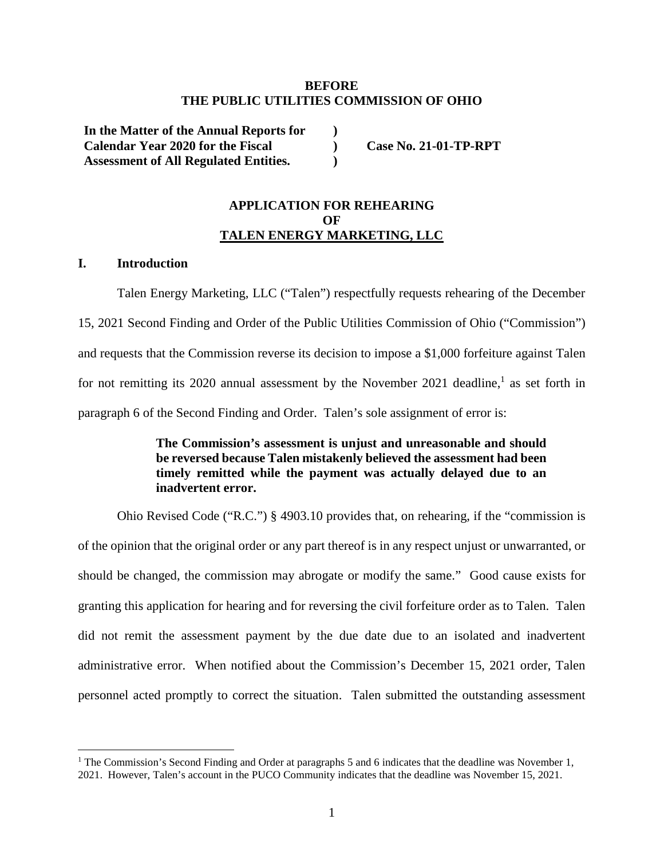#### **BEFORE THE PUBLIC UTILITIES COMMISSION OF OHIO**

**) ) )** 

**In the Matter of the Annual Reports for Calendar Year 2020 for the Fiscal Assessment of All Regulated Entities.** 

**Case No. 21-01-TP-RPT** 

## **APPLICATION FOR REHEARING OF TALEN ENERGY MARKETING, LLC**

### **I. Introduction**

Talen Energy Marketing, LLC ("Talen") respectfully requests rehearing of the December 15, 2021 Second Finding and Order of the Public Utilities Commission of Ohio ("Commission") and requests that the Commission reverse its decision to impose a \$1,000 forfeiture against Talen for not remitting its 2020 annual assessment by the November 2021 deadline,<sup>1</sup> as set forth in paragraph 6 of the Second Finding and Order. Talen's sole assignment of error is:

## **The Commission's assessment is unjust and unreasonable and should be reversed because Talen mistakenly believed the assessment had been timely remitted while the payment was actually delayed due to an inadvertent error.**

Ohio Revised Code ("R.C.") § 4903.10 provides that, on rehearing, if the "commission is of the opinion that the original order or any part thereof is in any respect unjust or unwarranted, or should be changed, the commission may abrogate or modify the same." Good cause exists for granting this application for hearing and for reversing the civil forfeiture order as to Talen. Talen did not remit the assessment payment by the due date due to an isolated and inadvertent administrative error. When notified about the Commission's December 15, 2021 order, Talen personnel acted promptly to correct the situation. Talen submitted the outstanding assessment

<sup>&</sup>lt;sup>1</sup> The Commission's Second Finding and Order at paragraphs 5 and 6 indicates that the deadline was November 1, 2021. However, Talen's account in the PUCO Community indicates that the deadline was November 15, 2021.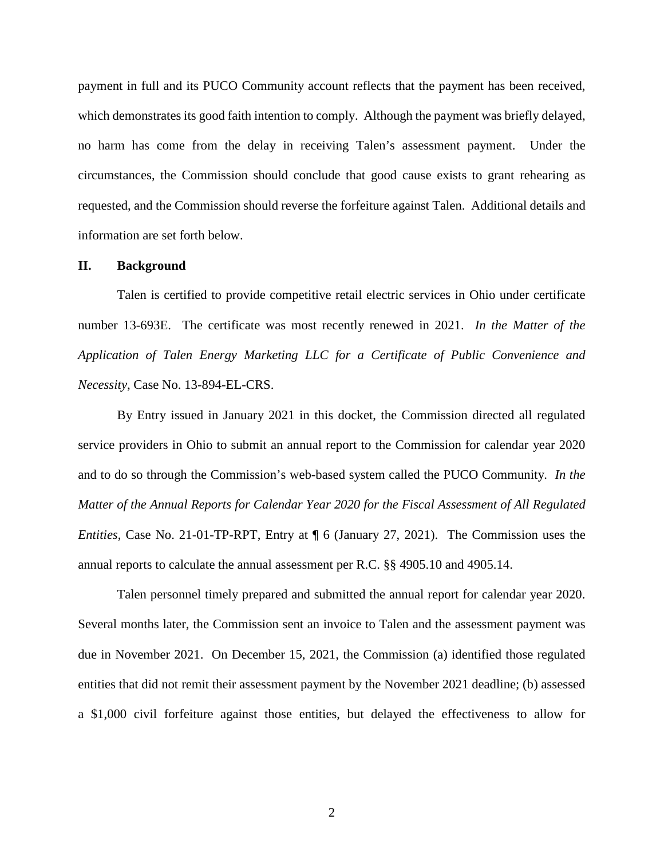payment in full and its PUCO Community account reflects that the payment has been received, which demonstrates its good faith intention to comply. Although the payment was briefly delayed, no harm has come from the delay in receiving Talen's assessment payment. Under the circumstances, the Commission should conclude that good cause exists to grant rehearing as requested, and the Commission should reverse the forfeiture against Talen. Additional details and information are set forth below.

#### **II. Background**

Talen is certified to provide competitive retail electric services in Ohio under certificate number 13-693E. The certificate was most recently renewed in 2021. *In the Matter of the Application of Talen Energy Marketing LLC for a Certificate of Public Convenience and Necessity*, Case No. 13-894-EL-CRS.

By Entry issued in January 2021 in this docket, the Commission directed all regulated service providers in Ohio to submit an annual report to the Commission for calendar year 2020 and to do so through the Commission's web-based system called the PUCO Community. *In the Matter of the Annual Reports for Calendar Year 2020 for the Fiscal Assessment of All Regulated Entities*, Case No. 21-01-TP-RPT, Entry at ¶ 6 (January 27, 2021). The Commission uses the annual reports to calculate the annual assessment per R.C. §§ 4905.10 and 4905.14.

Talen personnel timely prepared and submitted the annual report for calendar year 2020. Several months later, the Commission sent an invoice to Talen and the assessment payment was due in November 2021. On December 15, 2021, the Commission (a) identified those regulated entities that did not remit their assessment payment by the November 2021 deadline; (b) assessed a \$1,000 civil forfeiture against those entities, but delayed the effectiveness to allow for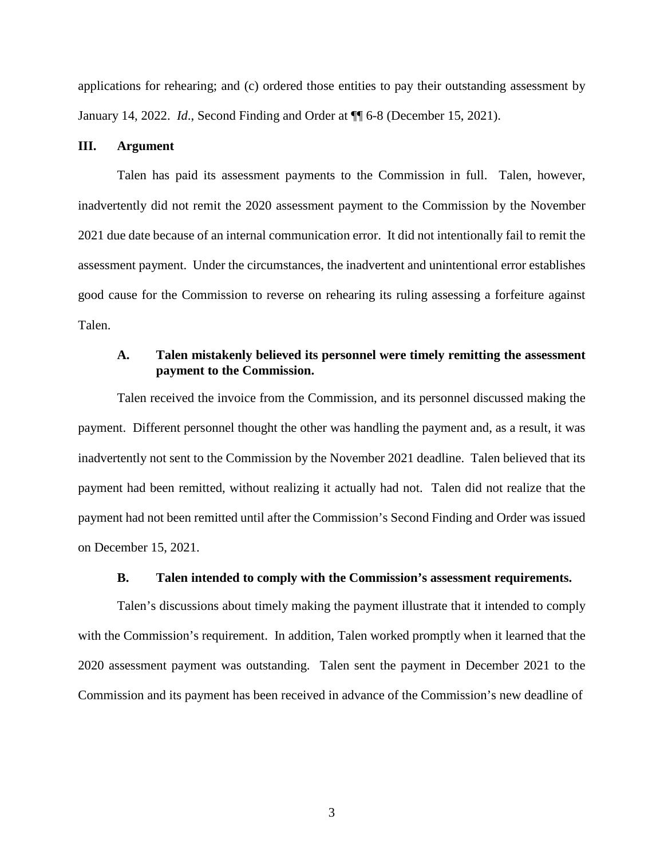applications for rehearing; and (c) ordered those entities to pay their outstanding assessment by January 14, 2022. *Id*., Second Finding and Order at ¶¶ 6-8 (December 15, 2021).

#### **III. Argument**

Talen has paid its assessment payments to the Commission in full. Talen, however, inadvertently did not remit the 2020 assessment payment to the Commission by the November 2021 due date because of an internal communication error. It did not intentionally fail to remit the assessment payment. Under the circumstances, the inadvertent and unintentional error establishes good cause for the Commission to reverse on rehearing its ruling assessing a forfeiture against Talen.

### **A. Talen mistakenly believed its personnel were timely remitting the assessment payment to the Commission.**

Talen received the invoice from the Commission, and its personnel discussed making the payment. Different personnel thought the other was handling the payment and, as a result, it was inadvertently not sent to the Commission by the November 2021 deadline. Talen believed that its payment had been remitted, without realizing it actually had not. Talen did not realize that the payment had not been remitted until after the Commission's Second Finding and Order was issued on December 15, 2021.

#### **B. Talen intended to comply with the Commission's assessment requirements.**

Talen's discussions about timely making the payment illustrate that it intended to comply with the Commission's requirement. In addition, Talen worked promptly when it learned that the 2020 assessment payment was outstanding. Talen sent the payment in December 2021 to the Commission and its payment has been received in advance of the Commission's new deadline of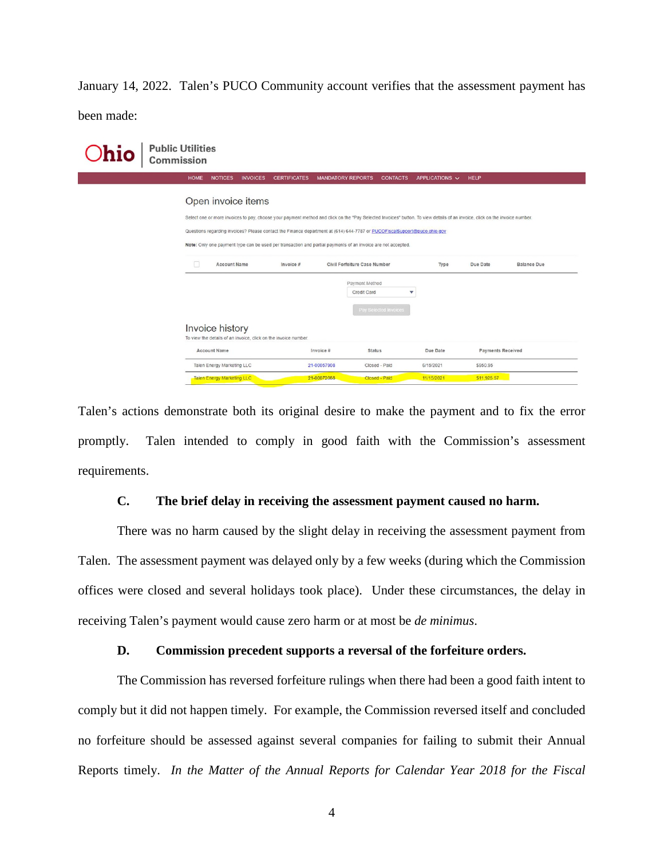January 14, 2022. Talen's PUCO Community account verifies that the assessment payment has been made:

| <b>hio</b> | <b>Public Utilities</b><br>Commission                                                                                                                                                                                                                                                                                                                                                                                                         |                                       |                 |                     |                               |                                      |                     |                          |                    |
|------------|-----------------------------------------------------------------------------------------------------------------------------------------------------------------------------------------------------------------------------------------------------------------------------------------------------------------------------------------------------------------------------------------------------------------------------------------------|---------------------------------------|-----------------|---------------------|-------------------------------|--------------------------------------|---------------------|--------------------------|--------------------|
|            |                                                                                                                                                                                                                                                                                                                                                                                                                                               | <b>HOME</b><br><b>NOTICES</b>         | <b>INVOICES</b> | <b>CERTIFICATES</b> | <b>MANDATORY REPORTS</b>      | <b>CONTACTS</b>                      | APPLICATIONS $\vee$ | <b>HELP</b>              |                    |
|            | Open invoice items<br>Select one or more invoices to pay, choose your payment method and click on the "Pay Selected Invoices" button. To view details of an invoice, click on the invoice number.<br>Questions regarding invoices? Please contact the Finance department at (614) 644-7787 or PUCOFiscalSupport@puco.ohio.gov<br>Note: Only one payment type can be used per transaction and partial payments of an invoice are not accepted. |                                       |                 |                     |                               |                                      |                     |                          |                    |
|            |                                                                                                                                                                                                                                                                                                                                                                                                                                               | n<br><b>Account Name</b><br>Invoice # |                 |                     |                               | Civil Forfeiture Case Number<br>Type |                     | Due Date                 | <b>Balance Due</b> |
|            |                                                                                                                                                                                                                                                                                                                                                                                                                                               |                                       |                 |                     | Payment Method<br>Credit Card | Pay Selected Invoices                | v                   |                          |                    |
|            | <b>Invoice history</b><br>To view the details of an invoice, click on the invoice number.                                                                                                                                                                                                                                                                                                                                                     |                                       |                 |                     |                               |                                      |                     |                          |                    |
|            |                                                                                                                                                                                                                                                                                                                                                                                                                                               | <b>Account Name</b>                   |                 |                     | Invoice #                     | Status                               | Due Date            | <b>Payments Received</b> |                    |
|            |                                                                                                                                                                                                                                                                                                                                                                                                                                               | Talen Energy Marketing LLC            |                 |                     | 21-00057908                   | Closed - Paid                        | 6/15/2021           | \$950.95                 |                    |
|            |                                                                                                                                                                                                                                                                                                                                                                                                                                               | <b>Talen Energy Marketing LLC</b>     |                 |                     | 21-00072088                   | Closed - Paid                        | 11/15/2021          | \$11,925.57              |                    |

Talen's actions demonstrate both its original desire to make the payment and to fix the error promptly. Talen intended to comply in good faith with the Commission's assessment requirements.

### **C. The brief delay in receiving the assessment payment caused no harm.**

There was no harm caused by the slight delay in receiving the assessment payment from Talen. The assessment payment was delayed only by a few weeks (during which the Commission offices were closed and several holidays took place). Under these circumstances, the delay in receiving Talen's payment would cause zero harm or at most be *de minimus*.

#### **D. Commission precedent supports a reversal of the forfeiture orders.**

The Commission has reversed forfeiture rulings when there had been a good faith intent to comply but it did not happen timely. For example, the Commission reversed itself and concluded no forfeiture should be assessed against several companies for failing to submit their Annual Reports timely. *In the Matter of the Annual Reports for Calendar Year 2018 for the Fiscal*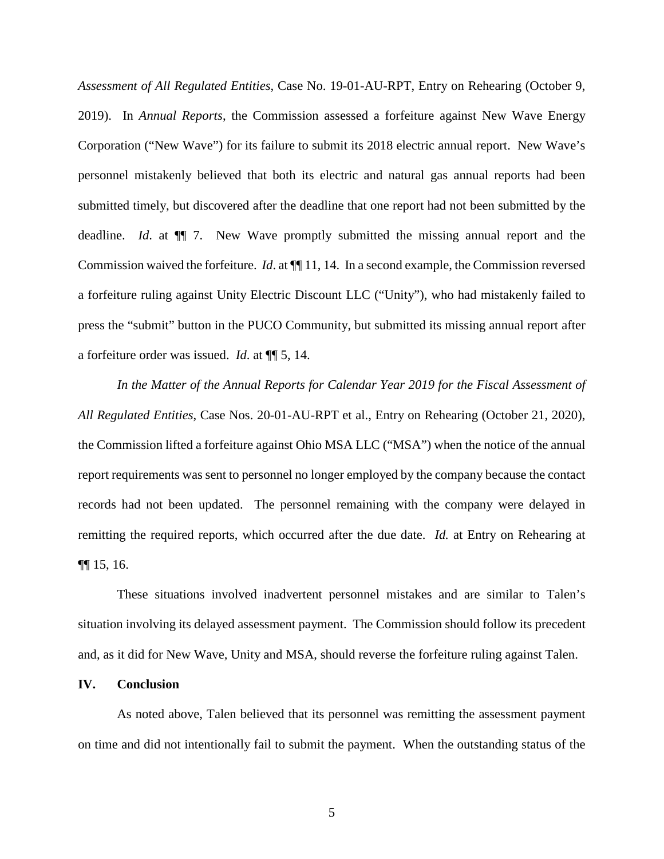*Assessment of All Regulated Entities*, Case No. 19-01-AU-RPT, Entry on Rehearing (October 9, 2019). In *Annual Reports*, the Commission assessed a forfeiture against New Wave Energy Corporation ("New Wave") for its failure to submit its 2018 electric annual report. New Wave's personnel mistakenly believed that both its electric and natural gas annual reports had been submitted timely, but discovered after the deadline that one report had not been submitted by the deadline. *Id*. at ¶¶ 7. New Wave promptly submitted the missing annual report and the Commission waived the forfeiture. *Id*. at ¶¶ 11, 14. In a second example, the Commission reversed a forfeiture ruling against Unity Electric Discount LLC ("Unity"), who had mistakenly failed to press the "submit" button in the PUCO Community, but submitted its missing annual report after a forfeiture order was issued. *Id*. at ¶¶ 5, 14.

*In the Matter of the Annual Reports for Calendar Year 2019 for the Fiscal Assessment of All Regulated Entities*, Case Nos. 20-01-AU-RPT et al., Entry on Rehearing (October 21, 2020), the Commission lifted a forfeiture against Ohio MSA LLC ("MSA") when the notice of the annual report requirements was sent to personnel no longer employed by the company because the contact records had not been updated. The personnel remaining with the company were delayed in remitting the required reports, which occurred after the due date. *Id.* at Entry on Rehearing at ¶¶ 15, 16.

These situations involved inadvertent personnel mistakes and are similar to Talen's situation involving its delayed assessment payment. The Commission should follow its precedent and, as it did for New Wave, Unity and MSA, should reverse the forfeiture ruling against Talen.

#### **IV. Conclusion**

As noted above, Talen believed that its personnel was remitting the assessment payment on time and did not intentionally fail to submit the payment. When the outstanding status of the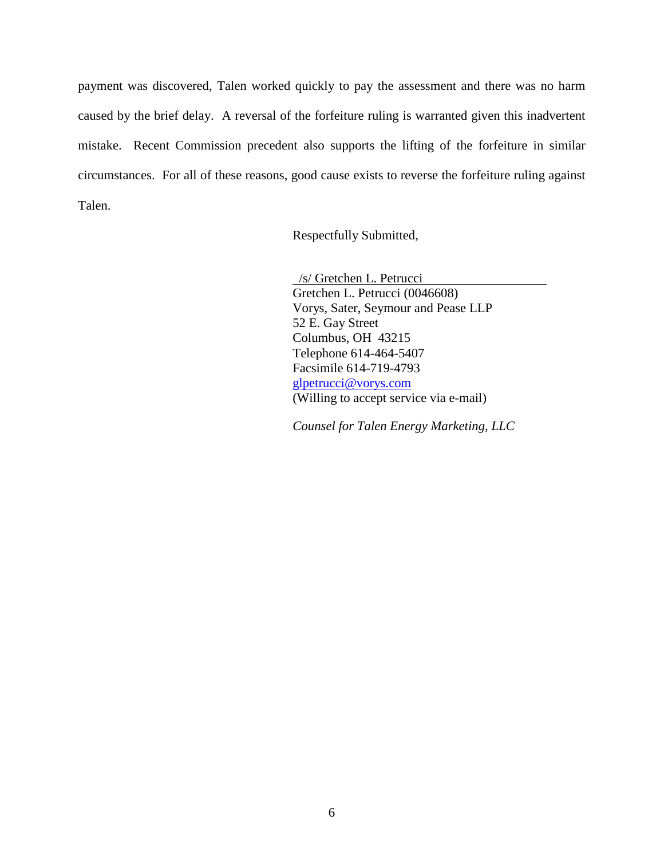payment was discovered, Talen worked quickly to pay the assessment and there was no harm caused by the brief delay. A reversal of the forfeiture ruling is warranted given this inadvertent mistake. Recent Commission precedent also supports the lifting of the forfeiture in similar circumstances. For all of these reasons, good cause exists to reverse the forfeiture ruling against Talen.

Respectfully Submitted,

 /s/ Gretchen L. Petrucci Gretchen L. Petrucci (0046608) Vorys, Sater, Seymour and Pease LLP 52 E. Gay Street Columbus, OH 43215 Telephone 614-464-5407 Facsimile 614-719-4793 glpetrucci@vorys.com (Willing to accept service via e-mail)

*Counsel for Talen Energy Marketing, LLC*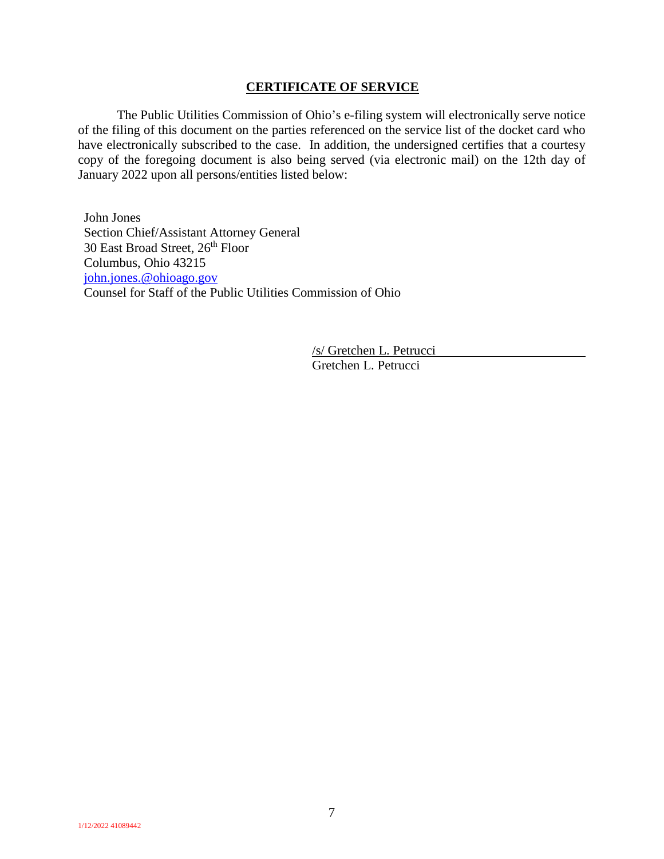#### **CERTIFICATE OF SERVICE**

The Public Utilities Commission of Ohio's e-filing system will electronically serve notice of the filing of this document on the parties referenced on the service list of the docket card who have electronically subscribed to the case. In addition, the undersigned certifies that a courtesy copy of the foregoing document is also being served (via electronic mail) on the 12th day of January 2022 upon all persons/entities listed below:

John Jones Section Chief/Assistant Attorney General 30 East Broad Street, 26<sup>th</sup> Floor Columbus, Ohio 43215 john.jones.@ohioago.gov Counsel for Staff of the Public Utilities Commission of Ohio

> /s/ Gretchen L. Petrucci Gretchen L. Petrucci